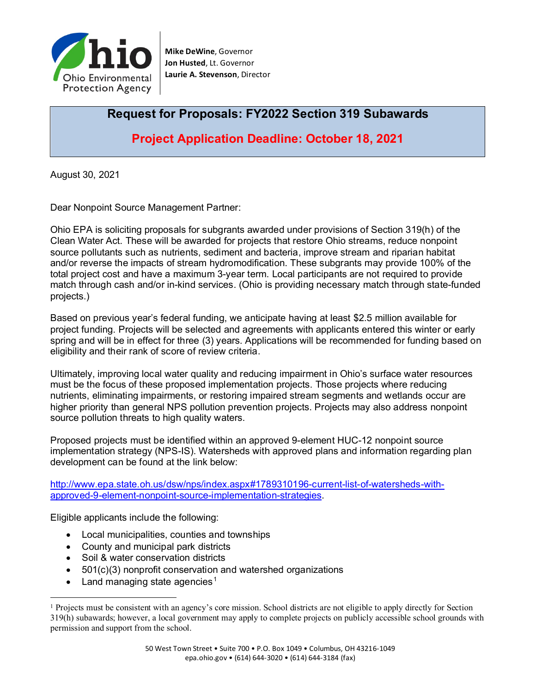

**Mike DeWine**, Governor **Jon Husted**, Lt. Governor **Laurie A. Stevenson**, Director

# **Request for Proposals: FY2022 Section 319 Subawards**

**Project Application Deadline: October 18, 2021**

August 30, 2021

Dear Nonpoint Source Management Partner:

Ohio EPA is soliciting proposals for subgrants awarded under provisions of Section 319(h) of the Clean Water Act. These will be awarded for projects that restore Ohio streams, reduce nonpoint source pollutants such as nutrients, sediment and bacteria, improve stream and riparian habitat and/or reverse the impacts of stream hydromodification. These subgrants may provide 100% of the total project cost and have a maximum 3-year term. Local participants are not required to provide match through cash and/or in-kind services. (Ohio is providing necessary match through state-funded projects.)

Based on previous year's federal funding, we anticipate having at least \$2.5 million available for project funding. Projects will be selected and agreements with applicants entered this winter or early spring and will be in effect for three (3) years. Applications will be recommended for funding based on eligibility and their rank of score of review criteria.

Ultimately, improving local water quality and reducing impairment in Ohio's surface water resources must be the focus of these proposed implementation projects. Those projects where reducing nutrients, eliminating impairments, or restoring impaired stream segments and wetlands occur are higher priority than general NPS pollution prevention projects. Projects may also address nonpoint source pollution threats to high quality waters.

Proposed projects must be identified within an approved 9-element HUC-12 nonpoint source implementation strategy (NPS-IS). Watersheds with approved plans and information regarding plan development can be found at the link below:

[http://www.epa.state.oh.us/dsw/nps/index.aspx#1789310196-current-list-of-watersheds-with](http://www.epa.state.oh.us/dsw/nps/index.aspx#1789310196-current-list-of-watersheds-with-approved-9-element-nonpoint-source-implementation-strategies)[approved-9-element-nonpoint-source-implementation-strategies.](http://www.epa.state.oh.us/dsw/nps/index.aspx#1789310196-current-list-of-watersheds-with-approved-9-element-nonpoint-source-implementation-strategies)

Eligible applicants include the following:

- Local municipalities, counties and townships
- County and municipal park districts
- Soil & water conservation districts
- 501(c)(3) nonprofit conservation and watershed organizations
- Land managing state agencies<sup>[1](#page-0-0)</sup>

<span id="page-0-0"></span><sup>&</sup>lt;sup>1</sup> Projects must be consistent with an agency's core mission. School districts are not eligible to apply directly for Section 319(h) subawards; however, a local government may apply to complete projects on publicly accessible school grounds with permission and support from the school.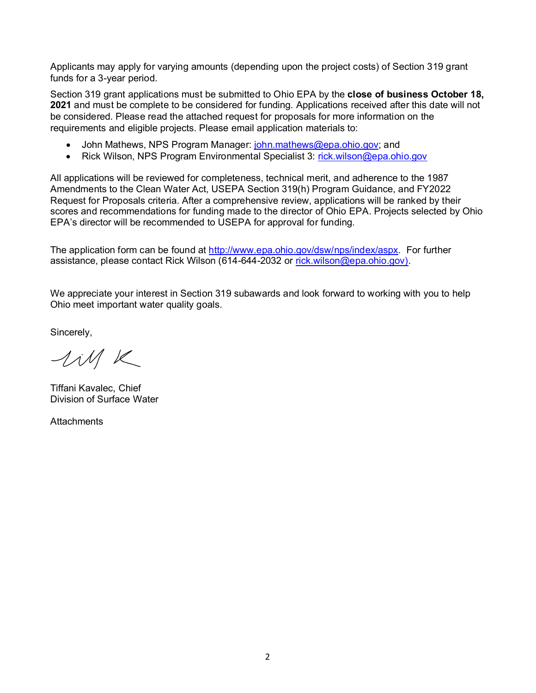Applicants may apply for varying amounts (depending upon the project costs) of Section 319 grant funds for a 3-year period.

Section 319 grant applications must be submitted to Ohio EPA by the **close of business October 18, 2021** and must be complete to be considered for funding. Applications received after this date will not be considered. Please read the attached request for proposals for more information on the requirements and eligible projects. Please email application materials to:

- John Mathews, NPS Program Manager: [john.mathews@epa.ohio.gov;](mailto:john.mathews@epa.ohio.gov) and
- Rick Wilson, NPS Program Environmental Specialist 3: [rick.wilson@epa.ohio.gov](mailto:rick.wilson@epa.ohio.gov)

All applications will be reviewed for completeness, technical merit, and adherence to the 1987 Amendments to the Clean Water Act, USEPA Section 319(h) Program Guidance, and FY2022 Request for Proposals criteria. After a comprehensive review, applications will be ranked by their scores and recommendations for funding made to the director of Ohio EPA. Projects selected by Ohio EPA's director will be recommended to USEPA for approval for funding.

The application form can be found at [http://www.epa.ohio.gov/dsw/nps/index/aspx.](http://www.epa.ohio.gov/dsw/nps/index/aspx) For further assistance, please contact Rick Wilson (614-644-2032 or [rick.wilson@epa.ohio.gov\)](mailto:rick.wilson@epa.ohio.gov).

We appreciate your interest in Section 319 subawards and look forward to working with you to help Ohio meet important water quality goals.

Sincerely,

lill K

Tiffani Kavalec, Chief Division of Surface Water

**Attachments**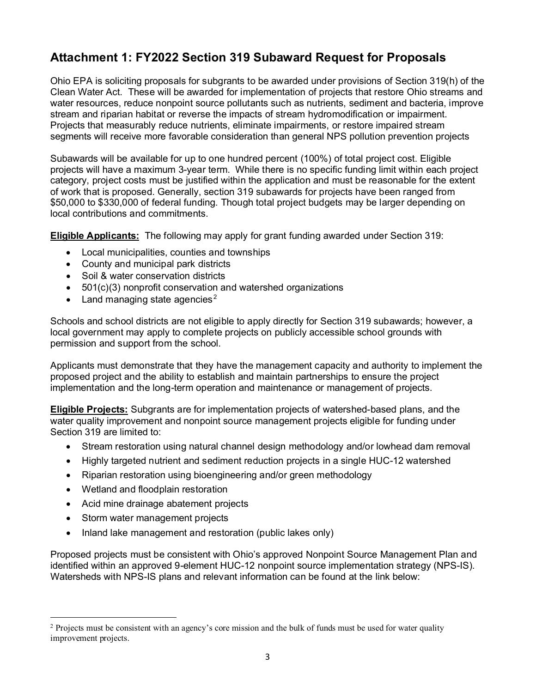# **Attachment 1: FY2022 Section 319 Subaward Request for Proposals**

Ohio EPA is soliciting proposals for subgrants to be awarded under provisions of Section 319(h) of the Clean Water Act. These will be awarded for implementation of projects that restore Ohio streams and water resources, reduce nonpoint source pollutants such as nutrients, sediment and bacteria, improve stream and riparian habitat or reverse the impacts of stream hydromodification or impairment. Projects that measurably reduce nutrients, eliminate impairments, or restore impaired stream segments will receive more favorable consideration than general NPS pollution prevention projects

Subawards will be available for up to one hundred percent (100%) of total project cost. Eligible projects will have a maximum 3-year term. While there is no specific funding limit within each project category, project costs must be justified within the application and must be reasonable for the extent of work that is proposed. Generally, section 319 subawards for projects have been ranged from \$50,000 to \$330,000 of federal funding. Though total project budgets may be larger depending on local contributions and commitments.

**Eligible Applicants:** The following may apply for grant funding awarded under Section 319:

- Local municipalities, counties and townships
- County and municipal park districts
- Soil & water conservation districts
- 501(c)(3) nonprofit conservation and watershed organizations
- Land managing state agencies<sup>[2](#page-2-0)</sup>

Schools and school districts are not eligible to apply directly for Section 319 subawards; however, a local government may apply to complete projects on publicly accessible school grounds with permission and support from the school.

Applicants must demonstrate that they have the management capacity and authority to implement the proposed project and the ability to establish and maintain partnerships to ensure the project implementation and the long-term operation and maintenance or management of projects.

**Eligible Projects:** Subgrants are for implementation projects of watershed-based plans, and the water quality improvement and nonpoint source management projects eligible for funding under Section 319 are limited to:

- Stream restoration using natural channel design methodology and/or lowhead dam removal
- Highly targeted nutrient and sediment reduction projects in a single HUC-12 watershed
- Riparian restoration using bioengineering and/or green methodology
- Wetland and floodplain restoration
- Acid mine drainage abatement projects
- Storm water management projects
- Inland lake management and restoration (public lakes only)

Proposed projects must be consistent with Ohio's approved Nonpoint Source Management Plan and identified within an approved 9-element HUC-12 nonpoint source implementation strategy (NPS-IS). Watersheds with NPS-IS plans and relevant information can be found at the link below:

<span id="page-2-0"></span><sup>&</sup>lt;sup>2</sup> Projects must be consistent with an agency's core mission and the bulk of funds must be used for water quality improvement projects.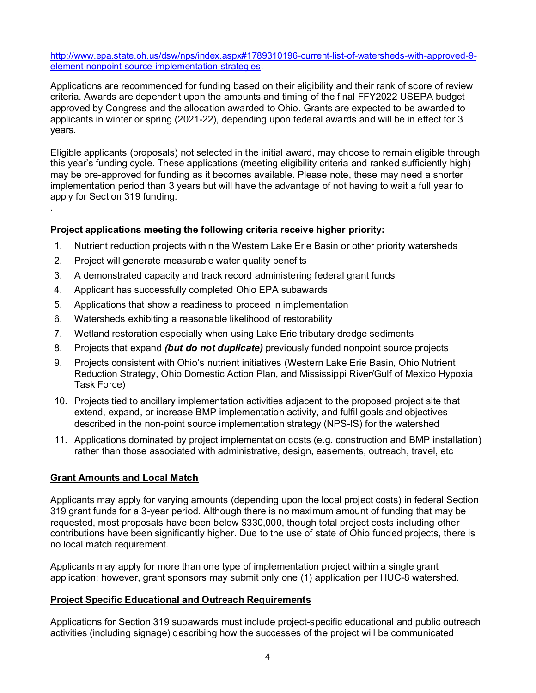[http://www.epa.state.oh.us/dsw/nps/index.aspx#1789310196-current-list-of-watersheds-with-approved-9](http://www.epa.state.oh.us/dsw/nps/index.aspx#1789310196-current-list-of-watersheds-with-approved-9-element-nonpoint-source-implementation-strategies) [element-nonpoint-source-implementation-strategies.](http://www.epa.state.oh.us/dsw/nps/index.aspx#1789310196-current-list-of-watersheds-with-approved-9-element-nonpoint-source-implementation-strategies)

Applications are recommended for funding based on their eligibility and their rank of score of review criteria. Awards are dependent upon the amounts and timing of the final FFY2022 USEPA budget approved by Congress and the allocation awarded to Ohio. Grants are expected to be awarded to applicants in winter or spring (2021-22), depending upon federal awards and will be in effect for 3 years.

Eligible applicants (proposals) not selected in the initial award, may choose to remain eligible through this year's funding cycle. These applications (meeting eligibility criteria and ranked sufficiently high) may be pre-approved for funding as it becomes available. Please note, these may need a shorter implementation period than 3 years but will have the advantage of not having to wait a full year to apply for Section 319 funding.

### **Project applications meeting the following criteria receive higher priority:**

- 1. Nutrient reduction projects within the Western Lake Erie Basin or other priority watersheds
- 2. Project will generate measurable water quality benefits
- 3. A demonstrated capacity and track record administering federal grant funds
- 4. Applicant has successfully completed Ohio EPA subawards
- 5. Applications that show a readiness to proceed in implementation
- 6. Watersheds exhibiting a reasonable likelihood of restorability
- 7. Wetland restoration especially when using Lake Erie tributary dredge sediments
- 8. Projects that expand *(but do not duplicate)* previously funded nonpoint source projects
- 9. Projects consistent with Ohio's nutrient initiatives (Western Lake Erie Basin, Ohio Nutrient Reduction Strategy, Ohio Domestic Action Plan, and Mississippi River/Gulf of Mexico Hypoxia Task Force)
- 10. Projects tied to ancillary implementation activities adjacent to the proposed project site that extend, expand, or increase BMP implementation activity, and fulfil goals and objectives described in the non-point source implementation strategy (NPS-IS) for the watershed
- 11. Applications dominated by project implementation costs (e.g. construction and BMP installation) rather than those associated with administrative, design, easements, outreach, travel, etc

#### **Grant Amounts and Local Match**

.

Applicants may apply for varying amounts (depending upon the local project costs) in federal Section 319 grant funds for a 3-year period. Although there is no maximum amount of funding that may be requested, most proposals have been below \$330,000, though total project costs including other contributions have been significantly higher. Due to the use of state of Ohio funded projects, there is no local match requirement.

Applicants may apply for more than one type of implementation project within a single grant application; however, grant sponsors may submit only one (1) application per HUC-8 watershed.

#### **Project Specific Educational and Outreach Requirements**

Applications for Section 319 subawards must include project-specific educational and public outreach activities (including signage) describing how the successes of the project will be communicated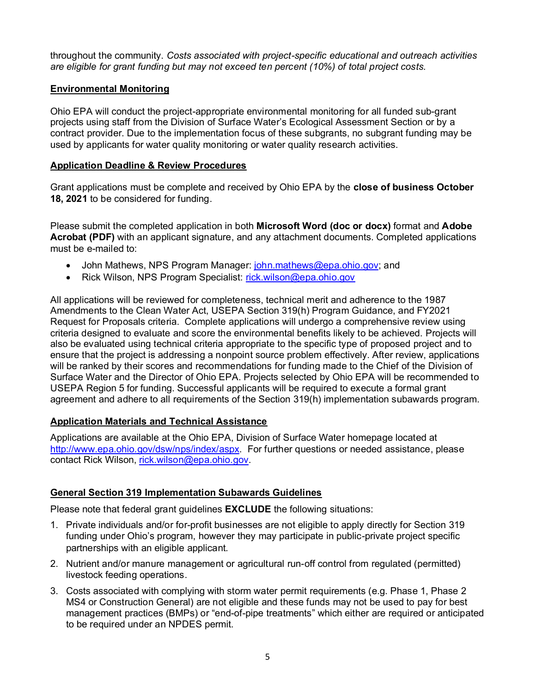throughout the community. *Costs associated with project-specific educational and outreach activities are eligible for grant funding but may not exceed ten percent (10%) of total project costs.*

### **Environmental Monitoring**

Ohio EPA will conduct the project-appropriate environmental monitoring for all funded sub-grant projects using staff from the Division of Surface Water's Ecological Assessment Section or by a contract provider. Due to the implementation focus of these subgrants, no subgrant funding may be used by applicants for water quality monitoring or water quality research activities.

#### **Application Deadline & Review Procedures**

Grant applications must be complete and received by Ohio EPA by the **close of business October 18, 2021** to be considered for funding.

Please submit the completed application in both **Microsoft Word (doc or docx)** format and **Adobe Acrobat (PDF)** with an applicant signature, and any attachment documents. Completed applications must be e-mailed to:

- John Mathews, NPS Program Manager: [john.mathews@epa.ohio.gov;](mailto:john.mathews@epa.ohio.gov) and
- Rick Wilson, NPS Program Specialist: [rick.wilson@epa.ohio.gov](mailto:rick.wilson@epa.ohio.gov)

All applications will be reviewed for completeness, technical merit and adherence to the 1987 Amendments to the Clean Water Act, USEPA Section 319(h) Program Guidance, and FY2021 Request for Proposals criteria. Complete applications will undergo a comprehensive review using criteria designed to evaluate and score the environmental benefits likely to be achieved. Projects will also be evaluated using technical criteria appropriate to the specific type of proposed project and to ensure that the project is addressing a nonpoint source problem effectively. After review, applications will be ranked by their scores and recommendations for funding made to the Chief of the Division of Surface Water and the Director of Ohio EPA. Projects selected by Ohio EPA will be recommended to USEPA Region 5 for funding. Successful applicants will be required to execute a formal grant agreement and adhere to all requirements of the Section 319(h) implementation subawards program.

## **Application Materials and Technical Assistance**

Applications are available at the Ohio EPA, Division of Surface Water homepage located at [http://www.epa.ohio.gov/dsw/nps/index/aspx.](http://www.epa.ohio.gov/dsw/nps/index/aspx) For further questions or needed assistance, please contact Rick Wilson, [rick.wilson@epa.ohio.gov.](mailto:rick.wilson@epa.ohio.gov)

## **General Section 319 Implementation Subawards Guidelines**

Please note that federal grant guidelines **EXCLUDE** the following situations:

- 1. Private individuals and/or for-profit businesses are not eligible to apply directly for Section 319 funding under Ohio's program, however they may participate in public-private project specific partnerships with an eligible applicant*.*
- 2. Nutrient and/or manure management or agricultural run-off control from regulated (permitted) livestock feeding operations.
- 3. Costs associated with complying with storm water permit requirements (e.g. Phase 1, Phase 2 MS4 or Construction General) are not eligible and these funds may not be used to pay for best management practices (BMPs) or "end-of-pipe treatments" which either are required or anticipated to be required under an NPDES permit.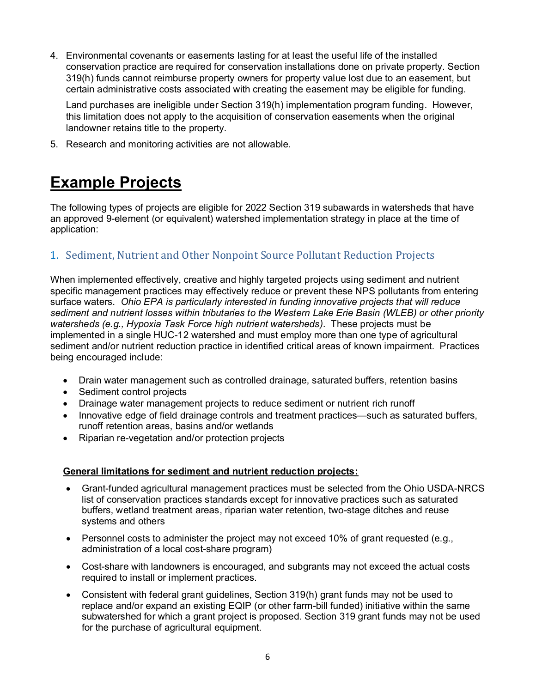4. Environmental covenants or easements lasting for at least the useful life of the installed conservation practice are required for conservation installations done on private property. Section 319(h) funds cannot reimburse property owners for property value lost due to an easement, but certain administrative costs associated with creating the easement may be eligible for funding.

Land purchases are ineligible under Section 319(h) implementation program funding. However, this limitation does not apply to the acquisition of conservation easements when the original landowner retains title to the property.

5. Research and monitoring activities are not allowable.

# **Example Projects**

The following types of projects are eligible for 2022 Section 319 subawards in watersheds that have an approved 9-element (or equivalent) watershed implementation strategy in place at the time of application:

## 1. Sediment, Nutrient and Other Nonpoint Source Pollutant Reduction Projects

When implemented effectively, creative and highly targeted projects using sediment and nutrient specific management practices may effectively reduce or prevent these NPS pollutants from entering surface waters. *Ohio EPA is particularly interested in funding innovative projects that will reduce sediment and nutrient losses within tributaries to the Western Lake Erie Basin (WLEB) or other priority watersheds (e.g., Hypoxia Task Force high nutrient watersheds)*. These projects must be implemented in a single HUC-12 watershed and must employ more than one type of agricultural sediment and/or nutrient reduction practice in identified critical areas of known impairment. Practices being encouraged include:

- Drain water management such as controlled drainage, saturated buffers, retention basins
- Sediment control projects
- Drainage water management projects to reduce sediment or nutrient rich runoff
- Innovative edge of field drainage controls and treatment practices—such as saturated buffers, runoff retention areas, basins and/or wetlands
- Riparian re-vegetation and/or protection projects

#### **General limitations for sediment and nutrient reduction projects:**

- Grant-funded agricultural management practices must be selected from the Ohio USDA-NRCS list of conservation practices standards except for innovative practices such as saturated buffers, wetland treatment areas, riparian water retention, two-stage ditches and reuse systems and others
- Personnel costs to administer the project may not exceed 10% of grant requested (e.g., administration of a local cost-share program)
- Cost-share with landowners is encouraged, and subgrants may not exceed the actual costs required to install or implement practices.
- Consistent with federal grant guidelines, Section 319(h) grant funds may not be used to replace and/or expand an existing EQIP (or other farm-bill funded) initiative within the same subwatershed for which a grant project is proposed. Section 319 grant funds may not be used for the purchase of agricultural equipment.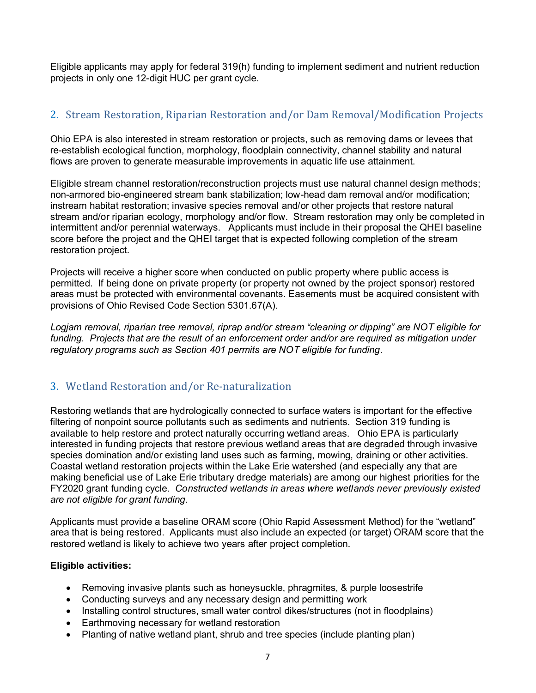Eligible applicants may apply for federal 319(h) funding to implement sediment and nutrient reduction projects in only one 12-digit HUC per grant cycle.

## 2. Stream Restoration, Riparian Restoration and/or Dam Removal/Modification Projects

Ohio EPA is also interested in stream restoration or projects, such as removing dams or levees that re-establish ecological function, morphology, floodplain connectivity, channel stability and natural flows are proven to generate measurable improvements in aquatic life use attainment.

Eligible stream channel restoration/reconstruction projects must use natural channel design methods; non-armored bio-engineered stream bank stabilization; low-head dam removal and/or modification; instream habitat restoration; invasive species removal and/or other projects that restore natural stream and/or riparian ecology, morphology and/or flow. Stream restoration may only be completed in intermittent and/or perennial waterways. Applicants must include in their proposal the QHEI baseline score before the project and the QHEI target that is expected following completion of the stream restoration project.

Projects will receive a higher score when conducted on public property where public access is permitted. If being done on private property (or property not owned by the project sponsor) restored areas must be protected with environmental covenants. Easements must be acquired consistent with provisions of Ohio Revised Code Section 5301.67(A).

*Logjam removal, riparian tree removal, riprap and/or stream "cleaning or dipping" are NOT eligible for funding. Projects that are the result of an enforcement order and/or are required as mitigation under regulatory programs such as Section 401 permits are NOT eligible for funding.* 

## 3. Wetland Restoration and/or Re-naturalization

Restoring wetlands that are hydrologically connected to surface waters is important for the effective filtering of nonpoint source pollutants such as sediments and nutrients. Section 319 funding is available to help restore and protect naturally occurring wetland areas. Ohio EPA is particularly interested in funding projects that restore previous wetland areas that are degraded through invasive species domination and/or existing land uses such as farming, mowing, draining or other activities. Coastal wetland restoration projects within the Lake Erie watershed (and especially any that are making beneficial use of Lake Erie tributary dredge materials) are among our highest priorities for the FY2020 grant funding cycle. *Constructed wetlands in areas where wetlands never previously existed are not eligible for grant funding.*

Applicants must provide a baseline ORAM score (Ohio Rapid Assessment Method) for the "wetland" area that is being restored. Applicants must also include an expected (or target) ORAM score that the restored wetland is likely to achieve two years after project completion.

#### **Eligible activities:**

- Removing invasive plants such as honeysuckle, phragmites, & purple loosestrife
- Conducting surveys and any necessary design and permitting work
- Installing control structures, small water control dikes/structures (not in floodplains)
- Earthmoving necessary for wetland restoration
- Planting of native wetland plant, shrub and tree species (include planting plan)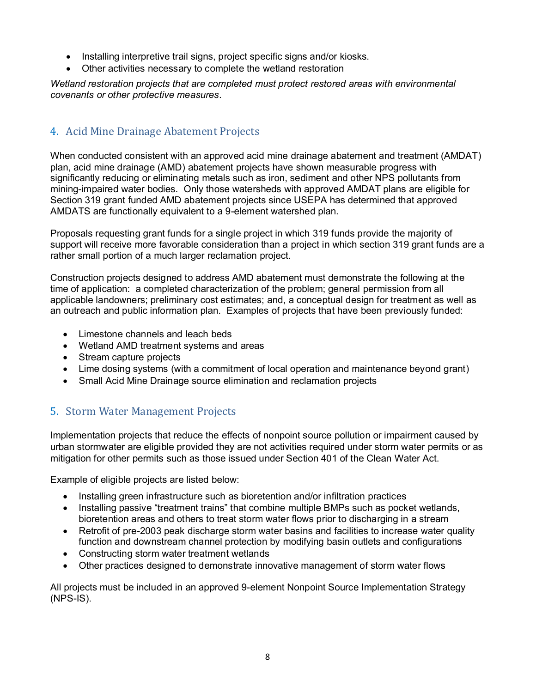- Installing interpretive trail signs, project specific signs and/or kiosks.
- Other activities necessary to complete the wetland restoration

*Wetland restoration projects that are completed must protect restored areas with environmental covenants or other protective measures.*

## 4. Acid Mine Drainage Abatement Projects

When conducted consistent with an approved acid mine drainage abatement and treatment (AMDAT) plan, acid mine drainage (AMD) abatement projects have shown measurable progress with significantly reducing or eliminating metals such as iron, sediment and other NPS pollutants from mining-impaired water bodies. Only those watersheds with approved AMDAT plans are eligible for Section 319 grant funded AMD abatement projects since USEPA has determined that approved AMDATS are functionally equivalent to a 9-element watershed plan.

Proposals requesting grant funds for a single project in which 319 funds provide the majority of support will receive more favorable consideration than a project in which section 319 grant funds are a rather small portion of a much larger reclamation project.

Construction projects designed to address AMD abatement must demonstrate the following at the time of application: a completed characterization of the problem; general permission from all applicable landowners; preliminary cost estimates; and, a conceptual design for treatment as well as an outreach and public information plan. Examples of projects that have been previously funded:

- Limestone channels and leach beds
- Wetland AMD treatment systems and areas
- Stream capture projects
- Lime dosing systems (with a commitment of local operation and maintenance beyond grant)
- Small Acid Mine Drainage source elimination and reclamation projects

## 5. Storm Water Management Projects

Implementation projects that reduce the effects of nonpoint source pollution or impairment caused by urban stormwater are eligible provided they are not activities required under storm water permits or as mitigation for other permits such as those issued under Section 401 of the Clean Water Act.

Example of eligible projects are listed below:

- Installing green infrastructure such as bioretention and/or infiltration practices
- Installing passive "treatment trains" that combine multiple BMPs such as pocket wetlands, bioretention areas and others to treat storm water flows prior to discharging in a stream
- Retrofit of pre-2003 peak discharge storm water basins and facilities to increase water quality function and downstream channel protection by modifying basin outlets and configurations
- Constructing storm water treatment wetlands
- Other practices designed to demonstrate innovative management of storm water flows

All projects must be included in an approved 9-element Nonpoint Source Implementation Strategy (NPS-IS).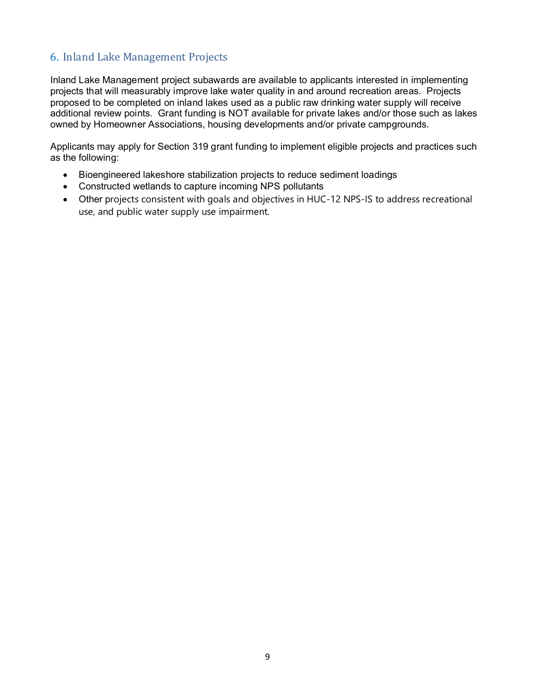## 6. Inland Lake Management Projects

Inland Lake Management project subawards are available to applicants interested in implementing projects that will measurably improve lake water quality in and around recreation areas. Projects proposed to be completed on inland lakes used as a public raw drinking water supply will receive additional review points. Grant funding is NOT available for private lakes and/or those such as lakes owned by Homeowner Associations, housing developments and/or private campgrounds.

Applicants may apply for Section 319 grant funding to implement eligible projects and practices such as the following:

- Bioengineered lakeshore stabilization projects to reduce sediment loadings
- Constructed wetlands to capture incoming NPS pollutants
- Other projects consistent with goals and objectives in HUC-12 NPS-IS to address recreational use, and public water supply use impairment.